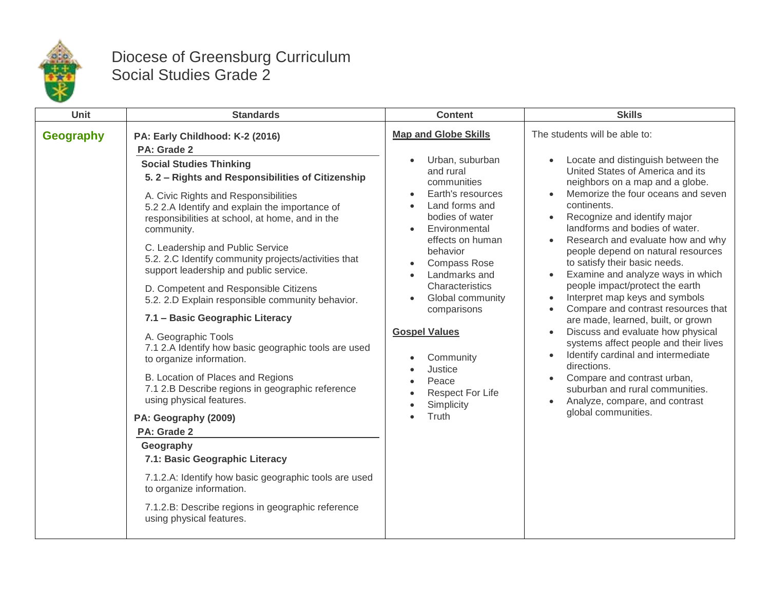

## Diocese of Greensburg Curriculum Social Studies Grade 2

| Unit             | <b>Standards</b>                                                                                                                                                                                                                                                                                                                                                                                                                                                                                                                                                                                                                                                                                                                                                                                                                                                                                                                                                                                                                                                  | <b>Content</b>                                                                                                                                                                                                                                                                                                                                                                                                                                     | <b>Skills</b>                                                                                                                                                                                                                                                                                                                                                                                                                                                                                                                                                                                                                                                                                                                                                                                                                                   |
|------------------|-------------------------------------------------------------------------------------------------------------------------------------------------------------------------------------------------------------------------------------------------------------------------------------------------------------------------------------------------------------------------------------------------------------------------------------------------------------------------------------------------------------------------------------------------------------------------------------------------------------------------------------------------------------------------------------------------------------------------------------------------------------------------------------------------------------------------------------------------------------------------------------------------------------------------------------------------------------------------------------------------------------------------------------------------------------------|----------------------------------------------------------------------------------------------------------------------------------------------------------------------------------------------------------------------------------------------------------------------------------------------------------------------------------------------------------------------------------------------------------------------------------------------------|-------------------------------------------------------------------------------------------------------------------------------------------------------------------------------------------------------------------------------------------------------------------------------------------------------------------------------------------------------------------------------------------------------------------------------------------------------------------------------------------------------------------------------------------------------------------------------------------------------------------------------------------------------------------------------------------------------------------------------------------------------------------------------------------------------------------------------------------------|
| <b>Geography</b> | PA: Early Childhood: K-2 (2016)<br>PA: Grade 2<br><b>Social Studies Thinking</b><br>5.2 - Rights and Responsibilities of Citizenship<br>A. Civic Rights and Responsibilities<br>5.2 2.A Identify and explain the importance of<br>responsibilities at school, at home, and in the<br>community.<br>C. Leadership and Public Service<br>5.2. 2.C Identify community projects/activities that<br>support leadership and public service.<br>D. Competent and Responsible Citizens<br>5.2. 2.D Explain responsible community behavior.<br>7.1 - Basic Geographic Literacy<br>A. Geographic Tools<br>7.1 2.A Identify how basic geographic tools are used<br>to organize information.<br>B. Location of Places and Regions<br>7.1 2.B Describe regions in geographic reference<br>using physical features.<br>PA: Geography (2009)<br>PA: Grade 2<br>Geography<br>7.1: Basic Geographic Literacy<br>7.1.2.A: Identify how basic geographic tools are used<br>to organize information.<br>7.1.2.B: Describe regions in geographic reference<br>using physical features. | <b>Map and Globe Skills</b><br>Urban, suburban<br>$\bullet$<br>and rural<br>communities<br>Earth's resources<br>Land forms and<br>$\bullet$<br>bodies of water<br>Environmental<br>effects on human<br>behavior<br><b>Compass Rose</b><br>$\bullet$<br>Landmarks and<br>Characteristics<br>Global community<br>$\bullet$<br>comparisons<br><b>Gospel Values</b><br>Community<br>Justice<br>Peace<br><b>Respect For Life</b><br>Simplicity<br>Truth | The students will be able to:<br>Locate and distinguish between the<br>United States of America and its<br>neighbors on a map and a globe.<br>Memorize the four oceans and seven<br>continents.<br>Recognize and identify major<br>landforms and bodies of water.<br>Research and evaluate how and why<br>$\bullet$<br>people depend on natural resources<br>to satisfy their basic needs.<br>Examine and analyze ways in which<br>people impact/protect the earth<br>Interpret map keys and symbols<br>Compare and contrast resources that<br>are made, learned, built, or grown<br>Discuss and evaluate how physical<br>systems affect people and their lives<br>Identify cardinal and intermediate<br>directions.<br>Compare and contrast urban,<br>suburban and rural communities.<br>Analyze, compare, and contrast<br>global communities. |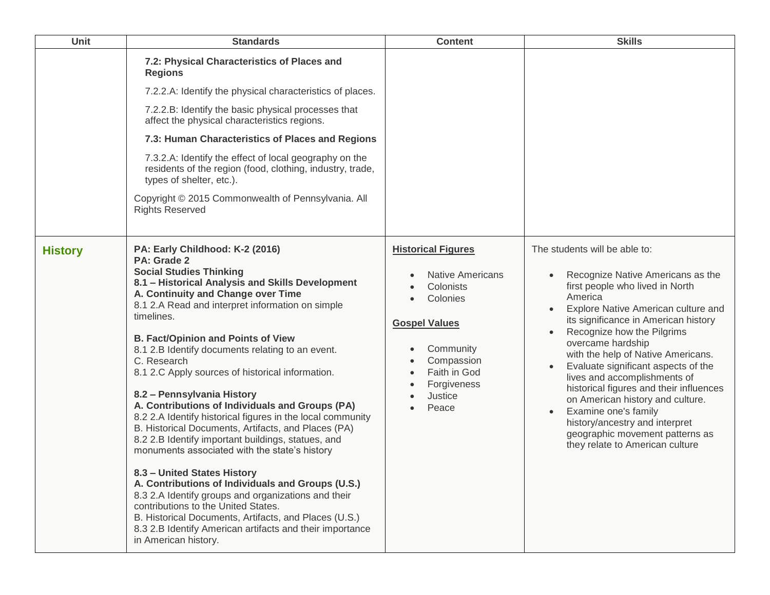| Unit           | <b>Standards</b>                                                                                                                                                                                                                                                                                                                                                                                                                                                                                                                                                                                                                                                                                                                                                                                                                                                                                                                                                                                                                                             | <b>Content</b>                                                                                                                                                                                                | <b>Skills</b>                                                                                                                                                                                                                                                                                                                                                                                                                                                                                                                                                                               |
|----------------|--------------------------------------------------------------------------------------------------------------------------------------------------------------------------------------------------------------------------------------------------------------------------------------------------------------------------------------------------------------------------------------------------------------------------------------------------------------------------------------------------------------------------------------------------------------------------------------------------------------------------------------------------------------------------------------------------------------------------------------------------------------------------------------------------------------------------------------------------------------------------------------------------------------------------------------------------------------------------------------------------------------------------------------------------------------|---------------------------------------------------------------------------------------------------------------------------------------------------------------------------------------------------------------|---------------------------------------------------------------------------------------------------------------------------------------------------------------------------------------------------------------------------------------------------------------------------------------------------------------------------------------------------------------------------------------------------------------------------------------------------------------------------------------------------------------------------------------------------------------------------------------------|
|                | 7.2: Physical Characteristics of Places and<br><b>Regions</b><br>7.2.2.A: Identify the physical characteristics of places.<br>7.2.2.B: Identify the basic physical processes that<br>affect the physical characteristics regions.<br>7.3: Human Characteristics of Places and Regions<br>7.3.2.A: Identify the effect of local geography on the<br>residents of the region (food, clothing, industry, trade,<br>types of shelter, etc.).<br>Copyright © 2015 Commonwealth of Pennsylvania. All<br><b>Rights Reserved</b>                                                                                                                                                                                                                                                                                                                                                                                                                                                                                                                                     |                                                                                                                                                                                                               |                                                                                                                                                                                                                                                                                                                                                                                                                                                                                                                                                                                             |
| <b>History</b> | PA: Early Childhood: K-2 (2016)<br>PA: Grade 2<br><b>Social Studies Thinking</b><br>8.1 - Historical Analysis and Skills Development<br>A. Continuity and Change over Time<br>8.1 2.A Read and interpret information on simple<br>timelines.<br><b>B. Fact/Opinion and Points of View</b><br>8.1 2.B Identify documents relating to an event.<br>C. Research<br>8.1 2.C Apply sources of historical information.<br>8.2 - Pennsylvania History<br>A. Contributions of Individuals and Groups (PA)<br>8.2 2.A Identify historical figures in the local community<br>B. Historical Documents, Artifacts, and Places (PA)<br>8.2 2.B Identify important buildings, statues, and<br>monuments associated with the state's history<br>8.3 - United States History<br>A. Contributions of Individuals and Groups (U.S.)<br>8.3 2.A Identify groups and organizations and their<br>contributions to the United States.<br>B. Historical Documents, Artifacts, and Places (U.S.)<br>8.3 2.B Identify American artifacts and their importance<br>in American history. | <b>Historical Figures</b><br><b>Native Americans</b><br>Colonists<br>Colonies<br><b>Gospel Values</b><br>Community<br>$\bullet$<br>Compassion<br>Faith in God<br>$\bullet$<br>Forgiveness<br>Justice<br>Peace | The students will be able to:<br>Recognize Native Americans as the<br>first people who lived in North<br>America<br>Explore Native American culture and<br>its significance in American history<br>Recognize how the Pilgrims<br>overcame hardship<br>with the help of Native Americans.<br>Evaluate significant aspects of the<br>lives and accomplishments of<br>historical figures and their influences<br>on American history and culture.<br>Examine one's family<br>$\bullet$<br>history/ancestry and interpret<br>geographic movement patterns as<br>they relate to American culture |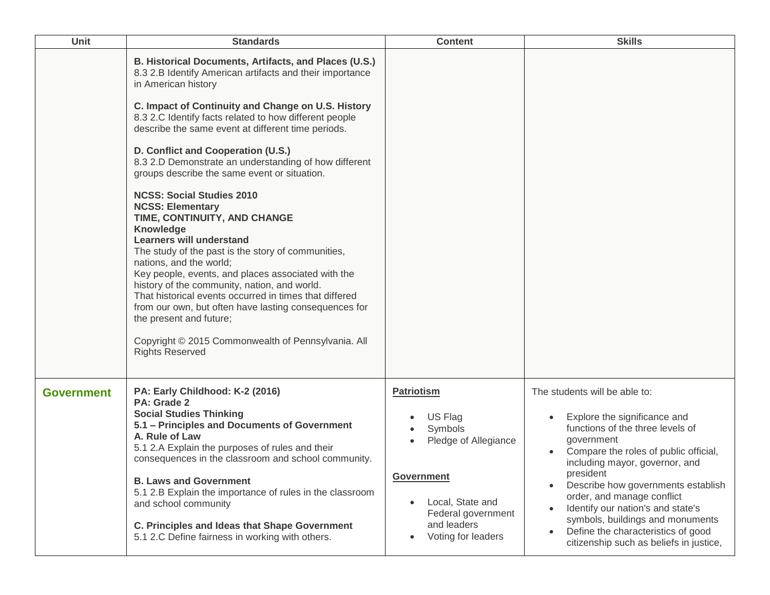| <b>Unit</b>       | <b>Standards</b>                                                                                                                                                                                                                                                                                                                                                                                                                                                                                                                                                                                                                                                                                                                                                                                                                                                                                                                                                                                                                         | <b>Content</b>                                                                                                                                                      | <b>Skills</b>                                                                                                                                                                                                                                                                                                                                                                                                                         |
|-------------------|------------------------------------------------------------------------------------------------------------------------------------------------------------------------------------------------------------------------------------------------------------------------------------------------------------------------------------------------------------------------------------------------------------------------------------------------------------------------------------------------------------------------------------------------------------------------------------------------------------------------------------------------------------------------------------------------------------------------------------------------------------------------------------------------------------------------------------------------------------------------------------------------------------------------------------------------------------------------------------------------------------------------------------------|---------------------------------------------------------------------------------------------------------------------------------------------------------------------|---------------------------------------------------------------------------------------------------------------------------------------------------------------------------------------------------------------------------------------------------------------------------------------------------------------------------------------------------------------------------------------------------------------------------------------|
|                   | B. Historical Documents, Artifacts, and Places (U.S.)<br>8.3 2.B Identify American artifacts and their importance<br>in American history<br>C. Impact of Continuity and Change on U.S. History<br>8.3 2.C Identify facts related to how different people<br>describe the same event at different time periods.<br>D. Conflict and Cooperation (U.S.)<br>8.3 2.D Demonstrate an understanding of how different<br>groups describe the same event or situation.<br><b>NCSS: Social Studies 2010</b><br><b>NCSS: Elementary</b><br>TIME, CONTINUITY, AND CHANGE<br><b>Knowledge</b><br><b>Learners will understand</b><br>The study of the past is the story of communities,<br>nations, and the world;<br>Key people, events, and places associated with the<br>history of the community, nation, and world.<br>That historical events occurred in times that differed<br>from our own, but often have lasting consequences for<br>the present and future;<br>Copyright © 2015 Commonwealth of Pennsylvania. All<br><b>Rights Reserved</b> |                                                                                                                                                                     |                                                                                                                                                                                                                                                                                                                                                                                                                                       |
| <b>Government</b> | PA: Early Childhood: K-2 (2016)<br>PA: Grade 2<br><b>Social Studies Thinking</b><br>5.1 - Principles and Documents of Government<br>A. Rule of Law<br>5.1 2.A Explain the purposes of rules and their<br>consequences in the classroom and school community.<br><b>B. Laws and Government</b><br>5.1 2.B Explain the importance of rules in the classroom<br>and school community<br>C. Principles and Ideas that Shape Government<br>5.1 2.C Define fairness in working with others.                                                                                                                                                                                                                                                                                                                                                                                                                                                                                                                                                    | <b>Patriotism</b><br>US Flag<br>Symbols<br>Pledge of Allegiance<br><b>Government</b><br>Local, State and<br>Federal government<br>and leaders<br>Voting for leaders | The students will be able to:<br>Explore the significance and<br>functions of the three levels of<br>government<br>Compare the roles of public official,<br>including mayor, governor, and<br>president<br>Describe how governments establish<br>order, and manage conflict<br>Identify our nation's and state's<br>symbols, buildings and monuments<br>Define the characteristics of good<br>citizenship such as beliefs in justice, |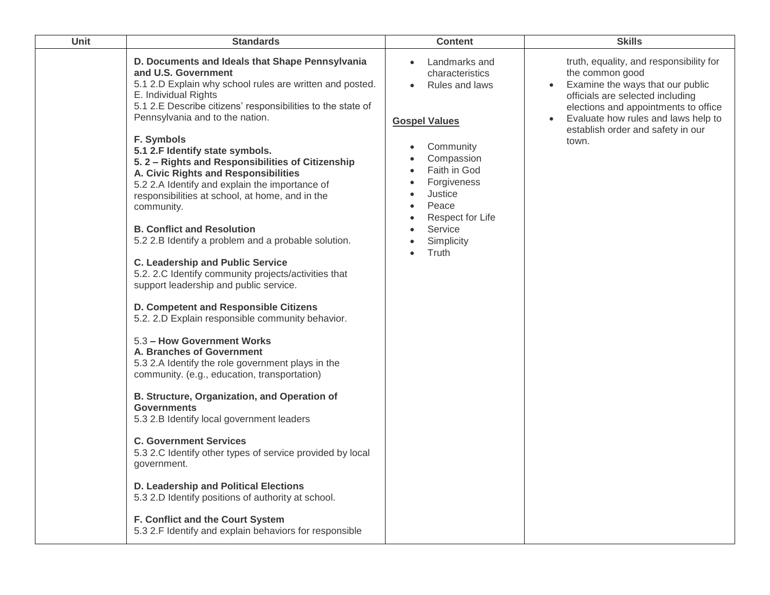| Unit | <b>Standards</b>                                                                                                                                                                                                                                                                                                                                                                                                                                                                                                                                                                                                                                                                                                                                                                                                                                                                                                                                                                                                                                                                                                                                                                                                                                                                                                                                                                                                                                                | <b>Content</b>                                                                                                                                                                                                                     | <b>Skills</b>                                                                                                                                                                                                                                                   |
|------|-----------------------------------------------------------------------------------------------------------------------------------------------------------------------------------------------------------------------------------------------------------------------------------------------------------------------------------------------------------------------------------------------------------------------------------------------------------------------------------------------------------------------------------------------------------------------------------------------------------------------------------------------------------------------------------------------------------------------------------------------------------------------------------------------------------------------------------------------------------------------------------------------------------------------------------------------------------------------------------------------------------------------------------------------------------------------------------------------------------------------------------------------------------------------------------------------------------------------------------------------------------------------------------------------------------------------------------------------------------------------------------------------------------------------------------------------------------------|------------------------------------------------------------------------------------------------------------------------------------------------------------------------------------------------------------------------------------|-----------------------------------------------------------------------------------------------------------------------------------------------------------------------------------------------------------------------------------------------------------------|
|      | D. Documents and Ideals that Shape Pennsylvania<br>and U.S. Government<br>5.1 2.D Explain why school rules are written and posted.<br>E. Individual Rights<br>5.1 2.E Describe citizens' responsibilities to the state of<br>Pennsylvania and to the nation.<br>F. Symbols<br>5.1 2.F Identify state symbols.<br>5.2 - Rights and Responsibilities of Citizenship<br>A. Civic Rights and Responsibilities<br>5.2 2.A Identify and explain the importance of<br>responsibilities at school, at home, and in the<br>community.<br><b>B. Conflict and Resolution</b><br>5.2 2.B Identify a problem and a probable solution.<br><b>C. Leadership and Public Service</b><br>5.2. 2.C Identify community projects/activities that<br>support leadership and public service.<br>D. Competent and Responsible Citizens<br>5.2. 2.D Explain responsible community behavior.<br>5.3 - How Government Works<br>A. Branches of Government<br>5.3 2.A Identify the role government plays in the<br>community. (e.g., education, transportation)<br>B. Structure, Organization, and Operation of<br><b>Governments</b><br>5.3 2.B Identify local government leaders<br><b>C. Government Services</b><br>5.3 2.C Identify other types of service provided by local<br>government.<br>D. Leadership and Political Elections<br>5.3 2.D Identify positions of authority at school.<br>F. Conflict and the Court System<br>5.3 2.F Identify and explain behaviors for responsible | Landmarks and<br>characteristics<br><b>Rules and laws</b><br><b>Gospel Values</b><br>Community<br>Compassion<br>Faith in God<br>Forgiveness<br>Justice<br>Peace<br>$\bullet$<br>Respect for Life<br>Service<br>Simplicity<br>Truth | truth, equality, and responsibility for<br>the common good<br>Examine the ways that our public<br>officials are selected including<br>elections and appointments to office<br>Evaluate how rules and laws help to<br>establish order and safety in our<br>town. |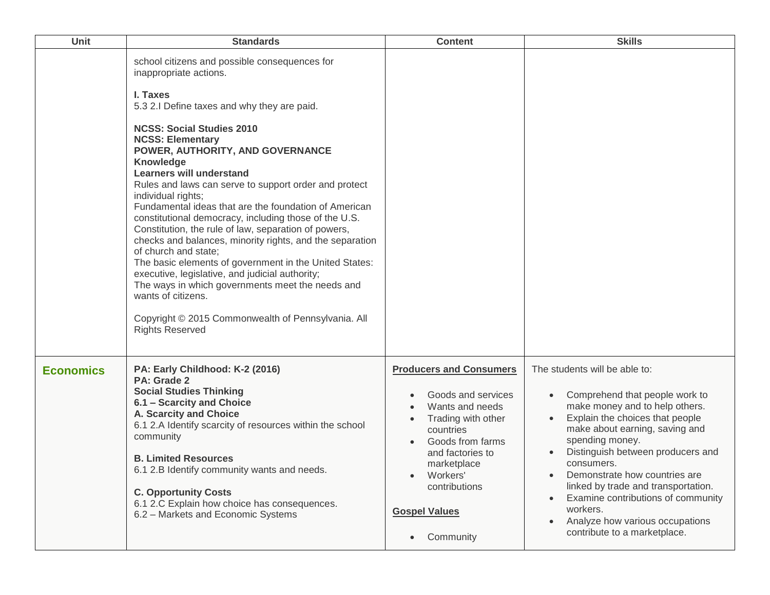| Unit             | <b>Standards</b>                                                                                                                                                                                                                                                                                                                                                                                                                                                                                                                                                                                                                                                                                                                                                                                                                                                                                          | <b>Content</b>                                                                                                                                                                                                                                   | <b>Skills</b>                                                                                                                                                                                                                                                                                                                                                                                                                             |
|------------------|-----------------------------------------------------------------------------------------------------------------------------------------------------------------------------------------------------------------------------------------------------------------------------------------------------------------------------------------------------------------------------------------------------------------------------------------------------------------------------------------------------------------------------------------------------------------------------------------------------------------------------------------------------------------------------------------------------------------------------------------------------------------------------------------------------------------------------------------------------------------------------------------------------------|--------------------------------------------------------------------------------------------------------------------------------------------------------------------------------------------------------------------------------------------------|-------------------------------------------------------------------------------------------------------------------------------------------------------------------------------------------------------------------------------------------------------------------------------------------------------------------------------------------------------------------------------------------------------------------------------------------|
|                  | school citizens and possible consequences for<br>inappropriate actions.<br>I. Taxes<br>5.3 2.I Define taxes and why they are paid.<br><b>NCSS: Social Studies 2010</b><br><b>NCSS: Elementary</b><br>POWER, AUTHORITY, AND GOVERNANCE<br>Knowledge<br><b>Learners will understand</b><br>Rules and laws can serve to support order and protect<br>individual rights;<br>Fundamental ideas that are the foundation of American<br>constitutional democracy, including those of the U.S.<br>Constitution, the rule of law, separation of powers,<br>checks and balances, minority rights, and the separation<br>of church and state;<br>The basic elements of government in the United States:<br>executive, legislative, and judicial authority;<br>The ways in which governments meet the needs and<br>wants of citizens.<br>Copyright © 2015 Commonwealth of Pennsylvania. All<br><b>Rights Reserved</b> |                                                                                                                                                                                                                                                  |                                                                                                                                                                                                                                                                                                                                                                                                                                           |
| <b>Economics</b> | PA: Early Childhood: K-2 (2016)<br>PA: Grade 2<br><b>Social Studies Thinking</b><br>6.1 - Scarcity and Choice<br>A. Scarcity and Choice<br>6.1 2.A Identify scarcity of resources within the school<br>community<br><b>B. Limited Resources</b><br>6.1 2.B Identify community wants and needs.<br><b>C. Opportunity Costs</b><br>6.1 2.C Explain how choice has consequences.<br>6.2 - Markets and Economic Systems                                                                                                                                                                                                                                                                                                                                                                                                                                                                                       | <b>Producers and Consumers</b><br>Goods and services<br>Wants and needs<br>Trading with other<br>countries<br>Goods from farms<br>and factories to<br>marketplace<br>Workers'<br>contributions<br><b>Gospel Values</b><br>Community<br>$\bullet$ | The students will be able to:<br>Comprehend that people work to<br>make money and to help others.<br>Explain the choices that people<br>make about earning, saving and<br>spending money.<br>Distinguish between producers and<br>consumers.<br>Demonstrate how countries are<br>linked by trade and transportation.<br>Examine contributions of community<br>workers.<br>Analyze how various occupations<br>contribute to a marketplace. |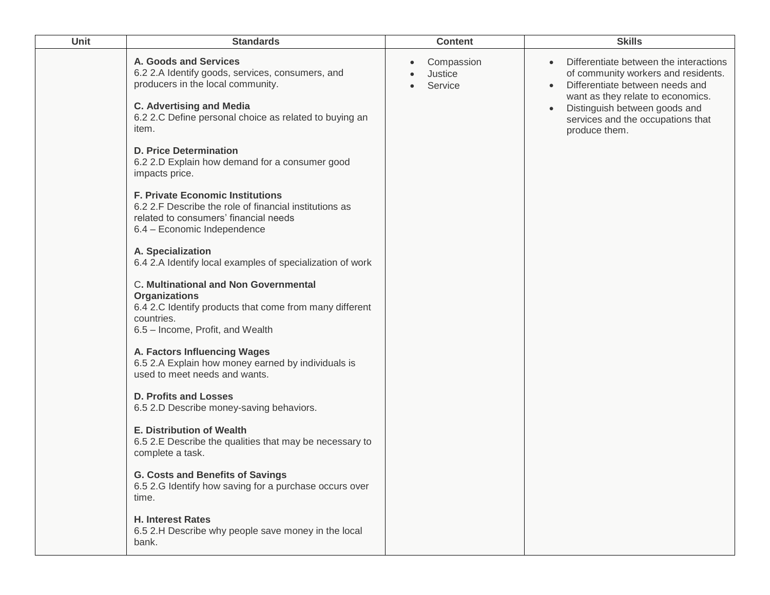| <b>Unit</b> | <b>Standards</b>                                                                                                                                                                                                     | <b>Content</b>                   | <b>Skills</b>                                                                                                                                                                                                                                             |
|-------------|----------------------------------------------------------------------------------------------------------------------------------------------------------------------------------------------------------------------|----------------------------------|-----------------------------------------------------------------------------------------------------------------------------------------------------------------------------------------------------------------------------------------------------------|
|             | A. Goods and Services<br>6.2 2.A Identify goods, services, consumers, and<br>producers in the local community.<br><b>C. Advertising and Media</b><br>6.2 2.C Define personal choice as related to buying an<br>item. | Compassion<br>Justice<br>Service | Differentiate between the interactions<br>of community workers and residents.<br>Differentiate between needs and<br>$\bullet$<br>want as they relate to economics.<br>Distinguish between goods and<br>services and the occupations that<br>produce them. |
|             | <b>D. Price Determination</b><br>6.2 2.D Explain how demand for a consumer good<br>impacts price.                                                                                                                    |                                  |                                                                                                                                                                                                                                                           |
|             | <b>F. Private Economic Institutions</b><br>6.2 2.F Describe the role of financial institutions as<br>related to consumers' financial needs<br>6.4 - Economic Independence                                            |                                  |                                                                                                                                                                                                                                                           |
|             | A. Specialization<br>6.4 2.A Identify local examples of specialization of work                                                                                                                                       |                                  |                                                                                                                                                                                                                                                           |
|             | C. Multinational and Non Governmental<br><b>Organizations</b><br>6.4 2.C Identify products that come from many different<br>countries.<br>6.5 - Income, Profit, and Wealth                                           |                                  |                                                                                                                                                                                                                                                           |
|             | A. Factors Influencing Wages<br>6.5 2.A Explain how money earned by individuals is<br>used to meet needs and wants.                                                                                                  |                                  |                                                                                                                                                                                                                                                           |
|             | <b>D. Profits and Losses</b><br>6.5 2.D Describe money-saving behaviors.                                                                                                                                             |                                  |                                                                                                                                                                                                                                                           |
|             | <b>E. Distribution of Wealth</b><br>6.5 2.E Describe the qualities that may be necessary to<br>complete a task.                                                                                                      |                                  |                                                                                                                                                                                                                                                           |
|             | <b>G. Costs and Benefits of Savings</b><br>6.5 2.G Identify how saving for a purchase occurs over<br>time.                                                                                                           |                                  |                                                                                                                                                                                                                                                           |
|             | <b>H. Interest Rates</b><br>6.5 2.H Describe why people save money in the local<br>bank.                                                                                                                             |                                  |                                                                                                                                                                                                                                                           |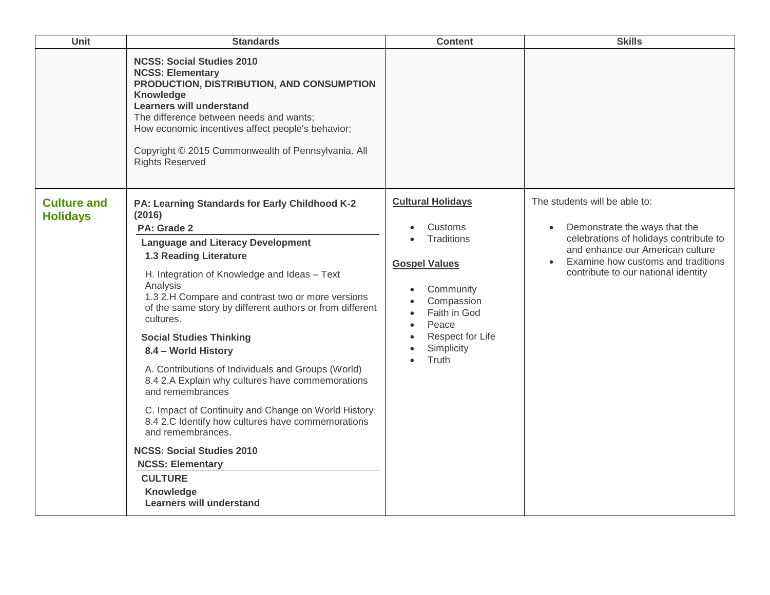| Unit                                  | <b>Standards</b>                                                                                                                                                                                                                                                                                                                                                                                                                                                                                                                                                                                                                                                                                                                                                                                 | <b>Content</b>                                                                                                                                                           | <b>Skills</b>                                                                                                                                                                                                             |
|---------------------------------------|--------------------------------------------------------------------------------------------------------------------------------------------------------------------------------------------------------------------------------------------------------------------------------------------------------------------------------------------------------------------------------------------------------------------------------------------------------------------------------------------------------------------------------------------------------------------------------------------------------------------------------------------------------------------------------------------------------------------------------------------------------------------------------------------------|--------------------------------------------------------------------------------------------------------------------------------------------------------------------------|---------------------------------------------------------------------------------------------------------------------------------------------------------------------------------------------------------------------------|
|                                       | <b>NCSS: Social Studies 2010</b><br><b>NCSS: Elementary</b><br>PRODUCTION, DISTRIBUTION, AND CONSUMPTION<br>Knowledge<br><b>Learners will understand</b><br>The difference between needs and wants;<br>How economic incentives affect people's behavior;<br>Copyright © 2015 Commonwealth of Pennsylvania. All<br><b>Rights Reserved</b>                                                                                                                                                                                                                                                                                                                                                                                                                                                         |                                                                                                                                                                          |                                                                                                                                                                                                                           |
| <b>Culture and</b><br><b>Holidays</b> | PA: Learning Standards for Early Childhood K-2<br>(2016)<br>PA: Grade 2<br><b>Language and Literacy Development</b><br>1.3 Reading Literature<br>H. Integration of Knowledge and Ideas - Text<br>Analysis<br>1.3 2.H Compare and contrast two or more versions<br>of the same story by different authors or from different<br>cultures.<br><b>Social Studies Thinking</b><br>8.4 - World History<br>A. Contributions of Individuals and Groups (World)<br>8.4 2.A Explain why cultures have commemorations<br>and remembrances<br>C. Impact of Continuity and Change on World History<br>8.4 2.C Identify how cultures have commemorations<br>and remembrances.<br><b>NCSS: Social Studies 2010</b><br><b>NCSS: Elementary</b><br><b>CULTURE</b><br>Knowledge<br><b>Learners will understand</b> | <b>Cultural Holidays</b><br>Customs<br>Traditions<br><b>Gospel Values</b><br>Community<br>Compassion<br>Faith in God<br>Peace<br>Respect for Life<br>Simplicity<br>Truth | The students will be able to:<br>Demonstrate the ways that the<br>celebrations of holidays contribute to<br>and enhance our American culture<br>Examine how customs and traditions<br>contribute to our national identity |